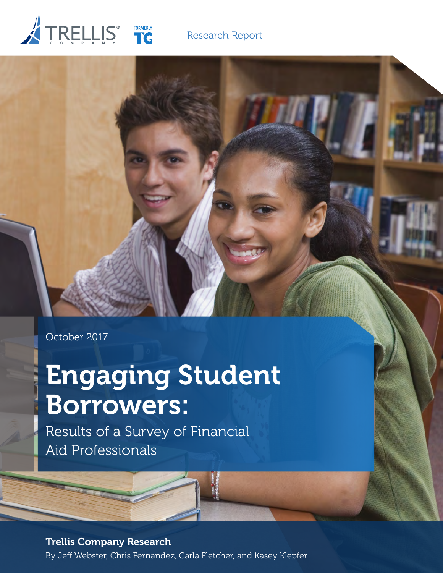# TRELLIS<sup>®</sup> FORMERLY

## Research Report

October 2017

## Engaging Student Borrowers:

Results of a Survey of Financial Aid Professionals

Trellis Company Research

By Jeff Webster, Chris Fernandez, Carla Fletcher, and Kasey Klepfer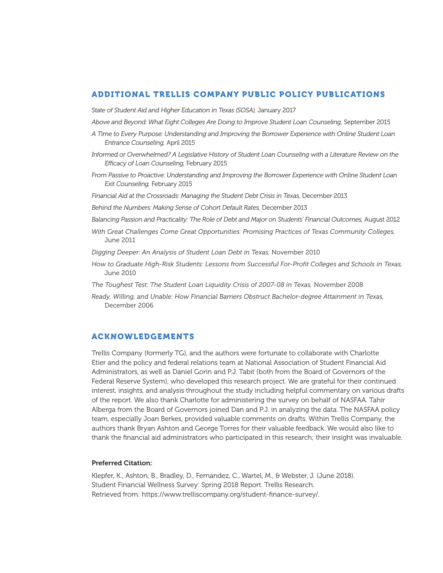## ADDITIONAL TRELLIS COMPANY PUBLIC POLICY PUBLICATIONS

*State of Student Aid and Higher Education in Texas (SOSA),* January 2017

*Above and Beyond: What Eight Colleges Are Doing to Improve Student Loan Counseling,* September 2015

- *A Time to Every Purpose: Understanding and Improving the Borrower Experience with Online Student Loan Entrance Counseling,* April 2015
- *Informed or Overwhelmed? A Legislative History of Student Loan Counseling with a Literature Review on the Efficacy of Loan Counseling,* February 2015
- *From Passive to Proactive: Understanding and Improving the Borrower Experience with Online Student Loan Exit Counseling,* February 2015
- Financial Aid at the Crossroads: Managing the Student Debt Crisis in Texas, December 2013
- *Behind the Numbers: Making Sense of Cohort Default Rates,* December 2013
- *Balancing Passion and Practicality: The Role of Debt and Major on Students' Financial Outcomes,* August 2012
- *With Great Challenges Come Great Opportunities: Promising Practices of Texas Community Colleges,*  June 2011

*Digging Deeper: An Analysis of Student Loan Debt in Texas,* November 2010

- *How to Graduate High-Risk Students: Lessons from Successful For-Profit Colleges and Schools in Texas,*  June 2010
- *The Toughest Test: The Student Loan Liquidity Crisis of 2007-08 in Texas,* November 2008
- *Ready, Willing, and Unable: How Financial Barriers Obstruct Bachelor-degree Attainment in Texas,* December 2006

## ACKNOWLEDGEMENTS

Trellis Company (formerly TG), and the authors were fortunate to collaborate with Charlotte Etier and the policy and federal relations team at National Association of Student Financial Aid Administrators, as well as Daniel Gorin and P.J. Tabit (both from the Board of Governors of the Federal Reserve System), who developed this research project. We are grateful for their continued interest, insights, and analysis throughout the study including helpful commentary on various drafts of the report. We also thank Charlotte for administering the survey on behalf of NASFAA. Tahir Alberga from the Board of Governors joined Dan and P.J. in analyzing the data. The NASFAA policy team, especially Joan Berkes, provided valuable comments on drafts. Within Trellis Company, the authors thank Bryan Ashton and George Torres for their valuable feedback. We would also like to thank the financial aid administrators who participated in this research; their insight was invaluable.

## Preferred Citation:

Klepfer, K., Ashton, B., Bradley, D., Fernandez, C., Wartel, M., & Webster, J. (June 2018). Student Financial Wellness Survey: Spring 2018 Report. Trellis Research. Retrieved from: https://www.trelliscompany.org/student-finance-survey/.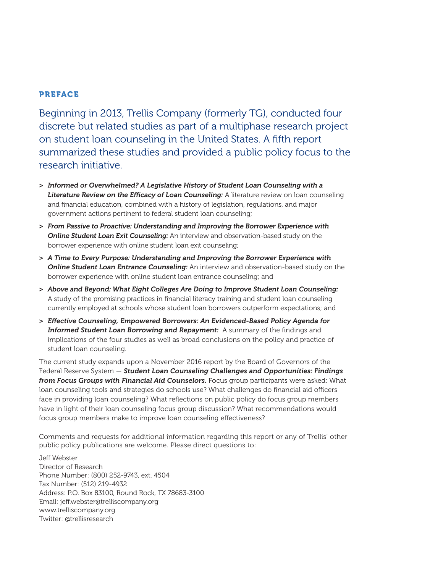## PREFACE

Beginning in 2013, Trellis Company (formerly TG), conducted four discrete but related studies as part of a multiphase research project on student loan counseling in the United States. A fifth report summarized these studies and provided a public policy focus to the research initiative.

- > *Informed or Overwhelmed? A Legislative History of Student Loan Counseling with a Literature Review on the Efficacy of Loan Counseling:* A literature review on loan counseling and financial education, combined with a history of legislation, regulations, and major government actions pertinent to federal student loan counseling;
- > *From Passive to Proactive: Understanding and Improving the Borrower Experience with Online Student Loan Exit Counseling:* An interview and observation-based study on the borrower experience with online student loan exit counseling;
- > *A Time to Every Purpose: Understanding and Improving the Borrower Experience with Online Student Loan Entrance Counseling:* An interview and observation-based study on the borrower experience with online student loan entrance counseling; and
- > *Above and Beyond: What Eight Colleges Are Doing to Improve Student Loan Counseling:*  A study of the promising practices in financial literacy training and student loan counseling currently employed at schools whose student loan borrowers outperform expectations; and
- > *Effective Counseling, Empowered Borrowers: An Evidenced-Based Policy Agenda for Informed Student Loan Borrowing and Repayment:* A summary of the findings and implications of the four studies as well as broad conclusions on the policy and practice of student loan counseling.

The current study expands upon a November 2016 report by the Board of Governors of the Federal Reserve System — *Student Loan Counseling Challenges and Opportunities: Findings from Focus Groups with Financial Aid Counselors.* Focus group participants were asked: What loan counseling tools and strategies do schools use? What challenges do financial aid officers face in providing loan counseling? What reflections on public policy do focus group members have in light of their loan counseling focus group discussion? What recommendations would focus group members make to improve loan counseling effectiveness?

Comments and requests for additional information regarding this report or any of Trellis' other public policy publications are welcome. Please direct questions to:

Jeff Webster Director of Research Phone Number: (800) 252-9743, ext. 4504 Fax Number: (512) 219-4932 Address: P.O. Box 83100, Round Rock, TX 78683-3100 Email: jeff.webster@trelliscompany.org www.trelliscompany.org Twitter: @trellisresearch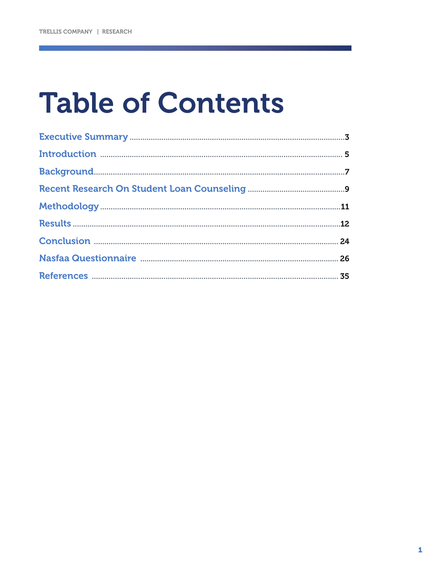## **Table of Contents**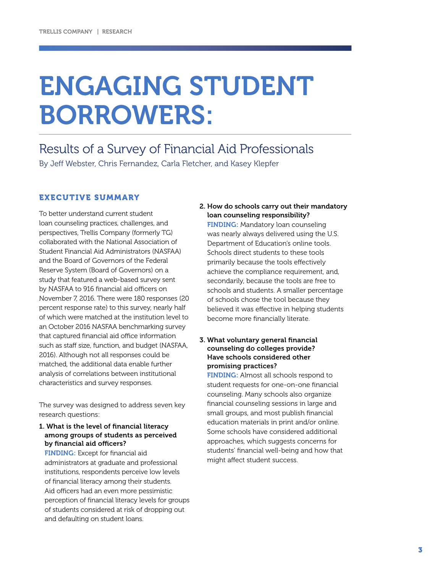## ENGAGING STUDENT BORROWERS:

Results of a Survey of Financial Aid Professionals By Jeff Webster, Chris Fernandez, Carla Fletcher, and Kasey Klepfer

## EXECUTIVE SUMMARY

To better understand current student loan counseling practices, challenges, and perspectives, Trellis Company (formerly TG) collaborated with the National Association of Student Financial Aid Administrators (NASFAA) and the Board of Governors of the Federal Reserve System (Board of Governors) on a study that featured a web-based survey sent by NASFAA to 916 financial aid officers on November 7, 2016. There were 180 responses (20 percent response rate) to this survey, nearly half of which were matched at the institution level to an October 2016 NASFAA benchmarking survey that captured financial aid office information such as staff size, function, and budget (NASFAA, 2016). Although not all responses could be matched, the additional data enable further analysis of correlations between institutional characteristics and survey responses.

The survey was designed to address seven key research questions:

1. What is the level of financial literacy among groups of students as perceived by financial aid officers?

FINDING: Except for financial aid administrators at graduate and professional institutions, respondents perceive low levels of financial literacy among their students. Aid officers had an even more pessimistic perception of financial literacy levels for groups of students considered at risk of dropping out and defaulting on student loans.

## 2. How do schools carry out their mandatory loan counseling responsibility?

FINDING: Mandatory loan counseling was nearly always delivered using the U.S. Department of Education's online tools. Schools direct students to these tools primarily because the tools effectively achieve the compliance requirement, and, secondarily, because the tools are free to schools and students. A smaller percentage of schools chose the tool because they believed it was effective in helping students become more financially literate.

## 3. What voluntary general financial counseling do colleges provide? Have schools considered other promising practices?

FINDING: Almost all schools respond to student requests for one-on-one financial counseling. Many schools also organize financial counseling sessions in large and small groups, and most publish financial education materials in print and/or online. Some schools have considered additional approaches, which suggests concerns for students' financial well-being and how that might affect student success.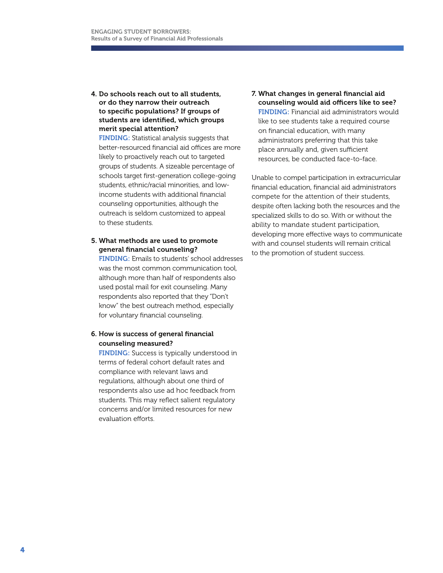## 4. Do schools reach out to all students, or do they narrow their outreach to specific populations? If groups of students are identified, which groups merit special attention?

FINDING: Statistical analysis suggests that better-resourced financial aid offices are more likely to proactively reach out to targeted groups of students. A sizeable percentage of schools target first-generation college-going students, ethnic/racial minorities, and lowincome students with additional financial counseling opportunities, although the outreach is seldom customized to appeal to these students.

5. What methods are used to promote general financial counseling?

FINDING: Emails to students' school addresses was the most common communication tool, although more than half of respondents also used postal mail for exit counseling. Many respondents also reported that they "Don't know" the best outreach method, especially for voluntary financial counseling.

## 6. How is success of general financial counseling measured?

FINDING: Success is typically understood in terms of federal cohort default rates and compliance with relevant laws and regulations, although about one third of respondents also use ad hoc feedback from students. This may reflect salient regulatory concerns and/or limited resources for new evaluation efforts.

7. What changes in general financial aid counseling would aid officers like to see? FINDING: Financial aid administrators would like to see students take a required course on financial education, with many administrators preferring that this take place annually and, given sufficient resources, be conducted face-to-face.

Unable to compel participation in extracurricular financial education, financial aid administrators compete for the attention of their students, despite often lacking both the resources and the specialized skills to do so. With or without the ability to mandate student participation, developing more effective ways to communicate with and counsel students will remain critical to the promotion of student success.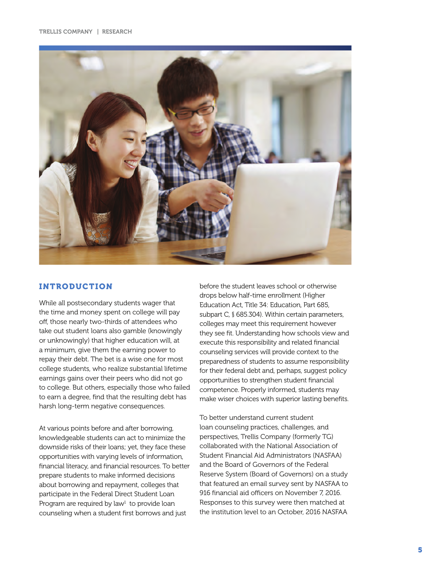

## INTRODUCTION

While all postsecondary students wager that the time and money spent on college will pay off, those nearly two-thirds of attendees who take out student loans also gamble (knowingly or unknowingly) that higher education will, at a minimum, give them the earning power to repay their debt. The bet is a wise one for most college students, who realize substantial lifetime earnings gains over their peers who did not go to college. But others, especially those who failed to earn a degree, find that the resulting debt has harsh long-term negative consequences.

At various points before and after borrowing, knowledgeable students can act to minimize the downside risks of their loans; yet, they face these opportunities with varying levels of information, financial literacy, and financial resources. To better prepare students to make informed decisions about borrowing and repayment, colleges that participate in the Federal Direct Student Loan Program are required by law<sup>1</sup> to provide loan counseling when a student first borrows and just

before the student leaves school or otherwise drops below half-time enrollment (Higher Education Act, Title 34: Education, Part 685, subpart C, § 685.304). Within certain parameters, colleges may meet this requirement however they see fit. Understanding how schools view and execute this responsibility and related financial counseling services will provide context to the preparedness of students to assume responsibility for their federal debt and, perhaps, suggest policy opportunities to strengthen student financial competence. Properly informed, students may make wiser choices with superior lasting benefits.

To better understand current student loan counseling practices, challenges, and perspectives, Trellis Company (formerly TG) collaborated with the National Association of Student Financial Aid Administrators (NASFAA) and the Board of Governors of the Federal Reserve System (Board of Governors) on a study that featured an email survey sent by NASFAA to 916 financial aid officers on November 7, 2016. Responses to this survey were then matched at the institution level to an October, 2016 NASFAA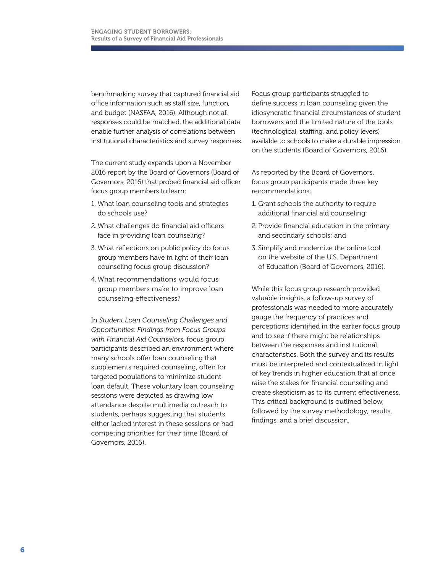benchmarking survey that captured financial aid office information such as staff size, function, and budget (NASFAA, 2016). Although not all responses could be matched, the additional data enable further analysis of correlations between institutional characteristics and survey responses.

The current study expands upon a November 2016 report by the Board of Governors (Board of Governors, 2016) that probed financial aid officer focus group members to learn:

- 1. What loan counseling tools and strategies do schools use?
- 2. What challenges do financial aid officers face in providing loan counseling?
- 3. What reflections on public policy do focus group members have in light of their loan counseling focus group discussion?
- 4. What recommendations would focus group members make to improve loan counseling effectiveness?

In *Student Loan Counseling Challenges and Opportunities: Findings from Focus Groups with Financial Aid Counselors,* focus group participants described an environment where many schools offer loan counseling that supplements required counseling, often for targeted populations to minimize student loan default. These voluntary loan counseling sessions were depicted as drawing low attendance despite multimedia outreach to students, perhaps suggesting that students either lacked interest in these sessions or had competing priorities for their time (Board of Governors, 2016).

Focus group participants struggled to define success in loan counseling given the idiosyncratic financial circumstances of student borrowers and the limited nature of the tools (technological, staffing, and policy levers) available to schools to make a durable impression on the students (Board of Governors, 2016).

As reported by the Board of Governors, focus group participants made three key recommendations:

- 1. Grant schools the authority to require additional financial aid counseling;
- 2. Provide financial education in the primary and secondary schools; and
- 3. Simplify and modernize the online tool on the website of the U.S. Department of Education (Board of Governors, 2016).

While this focus group research provided valuable insights, a follow-up survey of professionals was needed to more accurately gauge the frequency of practices and perceptions identified in the earlier focus group and to see if there might be relationships between the responses and institutional characteristics. Both the survey and its results must be interpreted and contextualized in light of key trends in higher education that at once raise the stakes for financial counseling and create skepticism as to its current effectiveness. This critical background is outlined below, followed by the survey methodology, results, findings, and a brief discussion.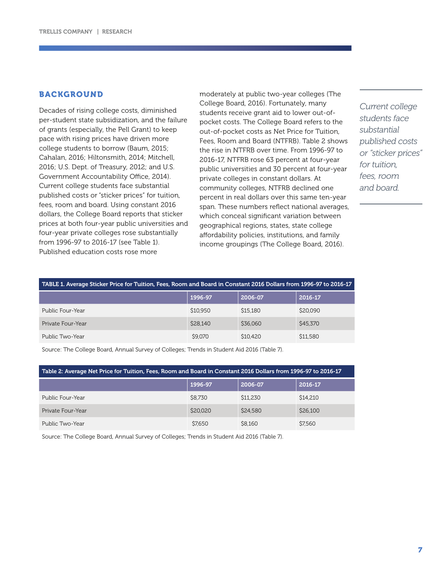## BACKGROUND

Decades of rising college costs, diminished per-student state subsidization, and the failure of grants (especially, the Pell Grant) to keep pace with rising prices have driven more college students to borrow (Baum, 2015; Cahalan, 2016; Hiltonsmith, 2014; Mitchell, 2016; U.S. Dept. of Treasury, 2012; and U.S. Government Accountability Office, 2014). Current college students face substantial published costs or "sticker prices" for tuition, fees, room and board. Using constant 2016 dollars, the College Board reports that sticker prices at both four-year public universities and four-year private colleges rose substantially from 1996-97 to 2016-17 (see Table 1). Published education costs rose more

moderately at public two-year colleges (The College Board, 2016). Fortunately, many students receive grant aid to lower out-ofpocket costs. The College Board refers to the out-of-pocket costs as Net Price for Tuition, Fees, Room and Board (NTFRB). Table 2 shows the rise in NTFRB over time. From 1996-97 to 2016-17, NTFRB rose 63 percent at four-year public universities and 30 percent at four-year private colleges in constant dollars. At community colleges, NTFRB declined one percent in real dollars over this same ten-year span. These numbers reflect national averages, which conceal significant variation between geographical regions, states, state college affordability policies, institutions, and family income groupings (The College Board, 2016).

*Current college students face substantial published costs or "sticker prices" for tuition, fees, room and board.*

| TABLE 1. Average Sticker Price for Tuition, Fees, Room and Board in Constant 2016 Dollars from 1996-97 to 2016-17 |          |          |          |  |  |
|-------------------------------------------------------------------------------------------------------------------|----------|----------|----------|--|--|
|                                                                                                                   | 1996-97  | 2006-07  | 2016-17  |  |  |
| Public Four-Year                                                                                                  | \$10,950 | \$15,180 | \$20,090 |  |  |
| Private Four-Year                                                                                                 | \$28,140 | \$36,060 | \$45,370 |  |  |
| Public Two-Year                                                                                                   | \$9,070  | \$10,420 | \$11,580 |  |  |

Source: The College Board, Annual Survey of Colleges; Trends in Student Aid 2016 (Table 7).

| Table 2: Average Net Price for Tuition, Fees, Room and Board in Constant 2016 Dollars from 1996-97 to 2016-17 |          |          |          |  |  |
|---------------------------------------------------------------------------------------------------------------|----------|----------|----------|--|--|
|                                                                                                               | 1996-97  | 2006-07  | 2016-17  |  |  |
| Public Four-Year                                                                                              | \$8,730  | \$11,230 | \$14,210 |  |  |
| Private Four-Year                                                                                             | \$20,020 | \$24,580 | \$26,100 |  |  |
| Public Two-Year                                                                                               | \$7.650  | \$8,160  | \$7,560  |  |  |

Source: The College Board, Annual Survey of Colleges; Trends in Student Aid 2016 (Table 7).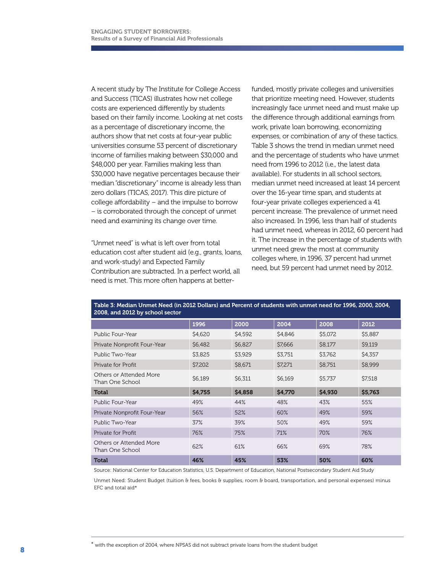A recent study by The Institute for College Access and Success (TICAS) illustrates how net college costs are experienced differently by students based on their family income. Looking at net costs as a percentage of discretionary income, the authors show that net costs at four-year public universities consume 53 percent of discretionary income of families making between \$30,000 and \$48,000 per year. Families making less than \$30,000 have negative percentages because their median "discretionary" income is already less than zero dollars (TICAS, 2017). This dire picture of college affordability – and the impulse to borrow – is corroborated through the concept of unmet need and examining its change over time.

"Unmet need" is what is left over from total education cost after student aid (e.g., grants, loans, and work-study) and Expected Family Contribution are subtracted. In a perfect world, all need is met. This more often happens at better-

funded, mostly private colleges and universities that prioritize meeting need. However, students increasingly face unmet need and must make up the difference through additional earnings from work, private loan borrowing, economizing expenses, or combination of any of these tactics. Table 3 shows the trend in median unmet need and the percentage of students who have unmet need from 1996 to 2012 (i.e., the latest data available). For students in all school sectors, median unmet need increased at least 14 percent over the 16-year time span, and students at four-year private colleges experienced a 41 percent increase. The prevalence of unmet need also increased. In 1996, less than half of students had unmet need, whereas in 2012, 60 percent had it. The increase in the percentage of students with unmet need grew the most at community colleges where, in 1996, 37 percent had unmet need, but 59 percent had unmet need by 2012.

| 2008, and 2012 by school sector            |         |         |         |         |         |
|--------------------------------------------|---------|---------|---------|---------|---------|
|                                            | 1996    | 2000    | 2004    | 2008    | 2012    |
| Public Four-Year                           | \$4,620 | \$4,592 | \$4,846 | \$5,072 | \$5,887 |
| Private Nonprofit Four-Year                | \$6,482 | \$6,827 | \$7,666 | \$8,177 | \$9,119 |
| Public Two-Year                            | \$3,825 | \$3,929 | \$3,751 | \$3.762 | \$4,357 |
| Private for Profit                         | \$7,202 | \$8,671 | \$7,271 | \$8,751 | \$8,999 |
| Others or Attended More<br>Than One School | \$6,189 | \$6,311 | \$6,169 | \$5,737 | \$7,518 |
| Total                                      | \$4,755 | \$4,858 | \$4,770 | \$4,930 | \$5,763 |
| Public Four-Year                           | 49%     | 44%     | 48%     | 43%     | 55%     |
| Private Nonprofit Four-Year                | 56%     | 52%     | 60%     | 49%     | 59%     |
| Public Two-Year                            | 37%     | 39%     | 50%     | 49%     | 59%     |
| Private for Profit                         | 76%     | 75%     | 71%     | 70%     | 76%     |
| Others or Attended More<br>Than One School | 62%     | 61%     | 66%     | 69%     | 78%     |
| <b>Total</b>                               | 46%     | 45%     | 53%     | 50%     | 60%     |

Table 3: Median Unmet Need (in 2012 Dollars) and Percent of students with unmet need for 1996, 2000, 2004,

Source: National Center for Education Statistics, U.S. Department of Education, National Postsecondary Student Aid Study

Unmet Need: Student Budget (tuition & fees, books & supplies, room & board, transportation, and personal expenses) minus EFC and total aid\*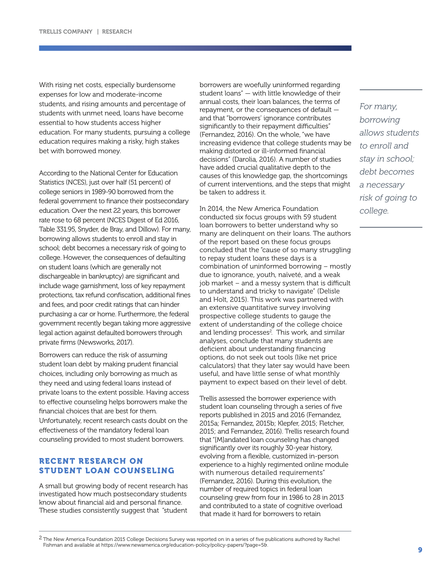With rising net costs, especially burdensome expenses for low and moderate-income students, and rising amounts and percentage of students with unmet need, loans have become essential to how students access higher education. For many students, pursuing a college education requires making a risky, high stakes bet with borrowed money.

According to the National Center for Education Statistics (NCES), just over half (51 percent) of college seniors in 1989-90 borrowed from the federal government to finance their postsecondary education. Over the next 22 years, this borrower rate rose to 68 percent (NCES Digest of Ed 2016, Table 331.95, Snyder, de Bray, and Dillow). For many, borrowing allows students to enroll and stay in school; debt becomes a necessary risk of going to college. However, the consequences of defaulting on student loans (which are generally not dischargeable in bankruptcy) are significant and include wage garnishment, loss of key repayment protections, tax refund confiscation, additional fines and fees, and poor credit ratings that can hinder purchasing a car or home. Furthermore, the federal government recently began taking more aggressive legal action against defaulted borrowers through private firms (Newsworks, 2017).

Borrowers can reduce the risk of assuming student loan debt by making prudent financial choices, including only borrowing as much as they need and using federal loans instead of private loans to the extent possible. Having access to effective counseling helps borrowers make the financial choices that are best for them. Unfortunately, recent research casts doubt on the effectiveness of the mandatory federal loan counseling provided to most student borrowers.

## RECENT RESEARCH ON STUDENT LOAN COUNSELING

A small but growing body of recent research has investigated how much postsecondary students know about financial aid and personal finance. These studies consistently suggest that "student borrowers are woefully uninformed regarding student loans" — with little knowledge of their annual costs, their loan balances, the terms of repayment, or the consequences of default and that "borrowers' ignorance contributes significantly to their repayment difficulties" (Fernandez, 2016). On the whole, "we have increasing evidence that college students may be making distorted or ill-informed financial decisions" (Darolia, 2016). A number of studies have added crucial qualitative depth to the causes of this knowledge gap, the shortcomings of current interventions, and the steps that might be taken to address it.

In 2014, the New America Foundation conducted six focus groups with 59 student loan borrowers to better understand why so many are delinquent on their loans. The authors of the report based on these focus groups concluded that the "cause of so many struggling to repay student loans these days is a combination of uninformed borrowing – mostly due to ignorance, youth, naïveté, and a weak job market – and a messy system that is difficult to understand and tricky to navigate" (Delisle and Holt, 2015). This work was partnered with an extensive quantitative survey involving prospective college students to gauge the extent of understanding of the college choice and lending processes<sup>2</sup>. This work, and similar analyses, conclude that many students are deficient about understanding financing options, do not seek out tools (like net price calculators) that they later say would have been useful, and have little sense of what monthly payment to expect based on their level of debt.

Trellis assessed the borrower experience with student loan counseling through a series of five reports published in 2015 and 2016 (Fernandez, 2015a; Fernandez, 2015b; Klepfer, 2015; Fletcher, 2015; and Fernandez, 2016). Trellis research found that "[M]andated loan counseling has changed significantly over its roughly 30-year history, evolving from a flexible, customized in-person experience to a highly regimented online module with numerous detailed requirements" (Fernandez, 2016). During this evolution, the number of required topics in federal loan counseling grew from four in 1986 to 28 in 2013 and contributed to a state of cognitive overload that made it hard for borrowers to retain

*For many, borrowing allows students to enroll and stay in school; debt becomes a necessary risk of going to college.* 

<sup>&</sup>lt;sup>2</sup> The New America Foundation 2015 College Decisions Survey was reported on in a series of five publications authored by Rachel Fishman and available at https://www.newamerica.org/education-policy/policy-papers/?page=5&.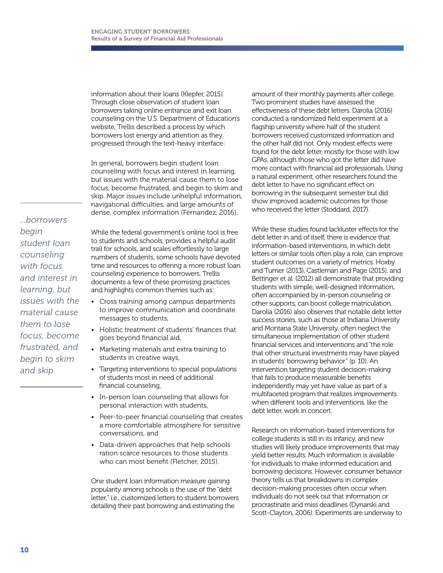information about their loans (Klepfer, 2015). Through close observation of student loan borrowers taking online entrance and exit loan counseling on the U.S. Department of Education's website, Trellis described a process by which borrowers lost energy and attention as they progressed through the text-heavy interface:

In general, borrowers begin student loan counseling with focus and interest in learning, but issues with the material cause them to lose focus, become frustrated, and begin to skim and skip. Major issues include unhelpful information, navigational difficulties, and large amounts of dense, complex information (Fernandez, 2016).

*...borrowers begin student loan counseling with focus and interest in learning, but issues with the material cause them to lose focus, become frustrated, and begin to skim and skip.*

While the federal government's online tool is free to students and schools, provides a helpful audit trail for schools, and scales effortlessly to large numbers of students, some schools have devoted time and resources to offering a more robust loan counseling experience to borrowers. Trellis documents a few of these promising practices and highlights common themes such as:

- Cross training among campus departments to improve communication and coordinate messages to students,
- Holistic treatment of students' finances that goes beyond financial aid,
- Marketing materials and extra training to students in creative ways,
- Targeting interventions to special populations of students most in need of additional financial counseling,
- In-person loan counseling that allows for personal interaction with students,
- Peer-to-peer financial counseling that creates a more comfortable atmosphere for sensitive conversations, and
- Data-driven approaches that help schools ration scarce resources to those students who can most benefit (Fletcher, 2015).

One student loan information measure gaining popularity among schools is the use of the "debt letter," i.e., customized letters to student borrowers detailing their past borrowing and estimating the

amount of their monthly payments after college. Two prominent studies have assessed the effectiveness of these debt letters. Darolia (2016) conducted a randomized field experiment at a flagship university where half of the student borrowers received customized information and the other half did not. Only modest effects were found for the debt letter, mostly for those with low GPAs, although those who got the letter did have more contact with financial aid professionals. Using a natural experiment, other researchers found the debt letter to have no significant effect on borrowing in the subsequent semester but did show improved academic outcomes for those who received the letter (Stoddard, 2017).

While these studies found lackluster effects for the debt letter in and of itself, there is evidence that information-based interventions, in which debt letters or similar tools often play a role, can improve student outcomes on a variety of metrics. Hoxby and Turner (2013), Castleman and Page (2015), and Bettinger et al. (2012) all demonstrate that providing students with simple, well-designed information, often accompanied by in-person counseling or other supports, can boost college matriculation. Darolia (2016) also observes that notable debt letter success stories, such as those at Indiana University and Montana State University, often neglect the simultaneous implementation of other student financial services and interventions and "the role that other structural investments may have played in students' borrowing behavior" (p. 10). An intervention targeting student decision-making that fails to produce measurable benefits independently may yet have value as part of a multifaceted program that realizes improvements when different tools and interventions, like the debt letter, work in concert.

Research on information-based interventions for college students is still in its infancy, and new studies will likely produce improvements that may yield better results. Much information is available for individuals to make informed education and borrowing decisions. However, consumer behavior theory tells us that breakdowns in complex decision-making processes often occur when individuals do not seek out that information or procrastinate and miss deadlines (Dynarski and Scott-Clayton, 2006). Experiments are underway to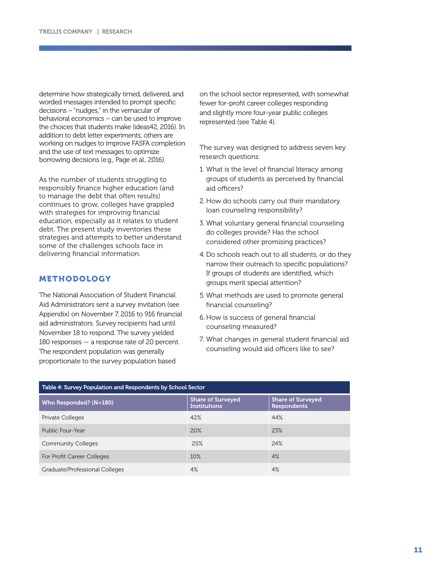determine how strategically timed, delivered, and worded messages intended to prompt specific decisions – "nudges," in the vernacular of behavioral economics – can be used to improve the choices that students make (ideas42, 2016). In addition to debt letter experiments, others are working on nudges to improve FASFA completion and the use of text messages to optimize borrowing decisions (e.g., Page et al., 2016).

As the number of students struggling to responsibly finance higher education (and to manage the debt that often results) continues to grow, colleges have grappled with strategies for improving financial education, especially as it relates to student debt. The present study inventories these strategies and attempts to better understand some of the challenges schools face in delivering financial information.

## METHODOLOGY

The National Association of Student Financial Aid Administrators sent a survey invitation (see Appendix) on November 7, 2016 to 916 financial aid administrators. Survey recipients had until November 18 to respond. The survey yielded 180 responses — a response rate of 20 percent. The respondent population was generally proportionate to the survey population based

on the school sector represented, with somewhat fewer for-profit career colleges responding and slightly more four-year public colleges represented (see Table 4).

The survey was designed to address seven key research questions:

- 1. What is the level of financial literacy among groups of students as perceived by financial aid officers?
- 2. How do schools carry out their mandatory loan counseling responsibility?
- 3. What voluntary general financial counseling do colleges provide? Has the school considered other promising practices?
- 4. Do schools reach out to all students, or do they narrow their outreach to specific populations? If groups of students are identified, which groups merit special attention?
- 5. What methods are used to promote general financial counseling?
- 6. How is success of general financial counseling measured?
- 7. What changes in general student financial aid counseling would aid officers like to see?

| Table 4: Survey Population and Respondents by School Sector |                                                 |                                                |  |  |
|-------------------------------------------------------------|-------------------------------------------------|------------------------------------------------|--|--|
| Who Responded? (N=180)                                      | <b>Share of Surveyed</b><br><b>Institutions</b> | <b>Share of Surveyed</b><br><b>Respondents</b> |  |  |
| Private Colleges                                            | 42%                                             | 44%                                            |  |  |
| Public Four-Year                                            | 20%                                             | 23%                                            |  |  |
| <b>Community Colleges</b>                                   | 25%                                             | 24%                                            |  |  |
| For Profit Career Colleges                                  | 10%                                             | 4%                                             |  |  |
| Graduate/Professional Colleges                              | 4%                                              | 4%                                             |  |  |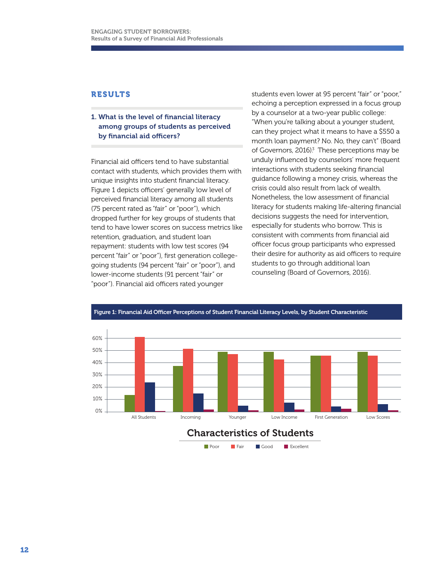## RESULTS

## 1. What is the level of financial literacy among groups of students as perceived by financial aid officers?

Financial aid officers tend to have substantial contact with students, which provides them with unique insights into student financial literacy. Figure 1 depicts officers' generally low level of perceived financial literacy among all students (75 percent rated as "fair" or "poor"), which dropped further for key groups of students that tend to have lower scores on success metrics like retention, graduation, and student loan repayment: students with low test scores (94 percent "fair" or "poor"), first generation collegegoing students (94 percent "fair" or "poor"), and lower-income students (91 percent "fair" or "poor"). Financial aid officers rated younger

students even lower at 95 percent "fair" or "poor," echoing a perception expressed in a focus group by a counselor at a two-year public college: "When you're talking about a younger student, can they project what it means to have a \$550 a month loan payment? No. No, they can't" (Board of Governors, 2016)<sup>3</sup> These perceptions may be unduly influenced by counselors' more frequent interactions with students seeking financial guidance following a money crisis, whereas the crisis could also result from lack of wealth. Nonetheless, the low assessment of financial literacy for students making life-altering financial decisions suggests the need for intervention, especially for students who borrow. This is consistent with comments from financial aid officer focus group participants who expressed their desire for authority as aid officers to require students to go through additional loan counseling (Board of Governors, 2016).



Figure 1: Financial Aid Officer Perceptions of Student Financial Literacy Levels, by Student Characteristic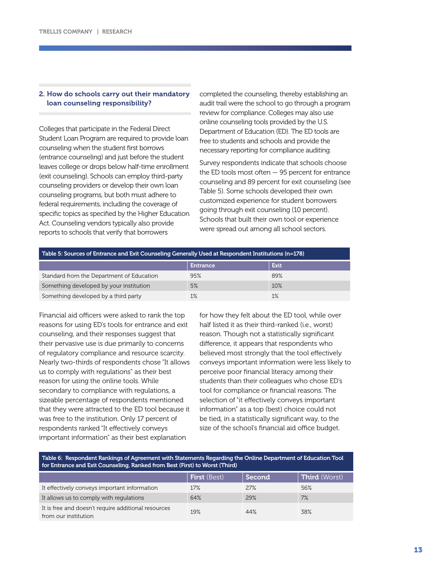### 2. How do schools carry out their mandatory loan counseling responsibility?

Colleges that participate in the Federal Direct Student Loan Program are required to provide loan counseling when the student first borrows (entrance counseling) and just before the student leaves college or drops below half-time enrollment (exit counseling). Schools can employ third-party counseling providers or develop their own loan counseling programs, but both must adhere to federal requirements, including the coverage of specific topics as specified by the Higher Education Act. Counseling vendors typically also provide reports to schools that verify that borrowers

completed the counseling, thereby establishing an audit trail were the school to go through a program review for compliance. Colleges may also use online counseling tools provided by the U.S. Department of Education (ED). The ED tools are free to students and schools and provide the necessary reporting for compliance auditing.

Survey respondents indicate that schools choose the ED tools most often — 95 percent for entrance counseling and 89 percent for exit counseling (see Table 5). Some schools developed their own customized experience for student borrowers going through exit counseling (10 percent). Schools that built their own tool or experience were spread out among all school sectors.

| Table 5: Sources of Entrance and Exit Counseling Generally Used at Respondent Institutions (n=178) |                 |       |  |  |
|----------------------------------------------------------------------------------------------------|-----------------|-------|--|--|
|                                                                                                    | <b>Entrance</b> | Exit  |  |  |
| Standard from the Department of Education                                                          | 95%             | 89%   |  |  |
| Something developed by your institution                                                            | 5%              | 10%   |  |  |
| Something developed by a third party                                                               | 1%              | $1\%$ |  |  |

Financial aid officers were asked to rank the top reasons for using ED's tools for entrance and exit counseling, and their responses suggest that their pervasive use is due primarily to concerns of regulatory compliance and resource scarcity. Nearly two-thirds of respondents chose "It allows us to comply with regulations" as their best reason for using the online tools. While secondary to compliance with regulations, a sizeable percentage of respondents mentioned that they were attracted to the ED tool because it was free to the institution. Only 17 percent of respondents ranked "It effectively conveys important information" as their best explanation

for how they felt about the ED tool, while over half listed it as their third-ranked (i.e., worst) reason. Though not a statistically significant difference, it appears that respondents who believed most strongly that the tool effectively conveys important information were less likely to perceive poor financial literacy among their students than their colleagues who chose ED's tool for compliance or financial reasons. The selection of "it effectively conveys important information" as a top (best) choice could not be tied, in a statistically significant way, to the size of the school's financial aid office budget.

#### Table 6: Respondent Rankings of Agreement with Statements Regarding the Online Department of Education Tool for Entrance and Exit Counseling, Ranked from Best (First) to Worst (Third)

|                                                                             | <b>First</b> (Best) | Second | <b>Third</b> (Worst) |
|-----------------------------------------------------------------------------|---------------------|--------|----------------------|
| It effectively conveys important information                                | 17%                 | 27%    | 56%                  |
| It allows us to comply with regulations                                     | 64%                 | 29%    | 7%                   |
| It is free and doesn't require additional resources<br>from our institution | 19%                 | 44%    | 38%                  |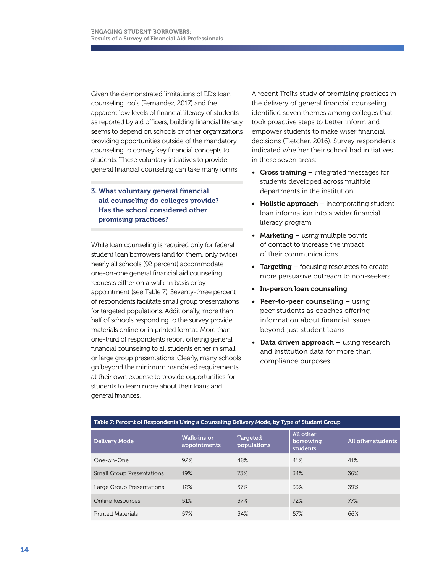Given the demonstrated limitations of ED's loan counseling tools (Fernandez, 2017) and the apparent low levels of financial literacy of students as reported by aid officers, building financial literacy seems to depend on schools or other organizations providing opportunities outside of the mandatory counseling to convey key financial concepts to students. These voluntary initiatives to provide general financial counseling can take many forms.

## 3. What voluntary general financial aid counseling do colleges provide? Has the school considered other promising practices?

While loan counseling is required only for federal student loan borrowers (and for them, only twice), nearly all schools (92 percent) accommodate one-on-one general financial aid counseling requests either on a walk-in basis or by appointment (see Table 7). Seventy-three percent of respondents facilitate small group presentations for targeted populations. Additionally, more than half of schools responding to the survey provide materials online or in printed format. More than one-third of respondents report offering general financial counseling to all students either in small or large group presentations. Clearly, many schools go beyond the minimum mandated requirements at their own expense to provide opportunities for students to learn more about their loans and general finances.

A recent Trellis study of promising practices in the delivery of general financial counseling identified seven themes among colleges that took proactive steps to better inform and empower students to make wiser financial decisions (Fletcher, 2016). Survey respondents indicated whether their school had initiatives in these seven areas:

- Cross training integrated messages for students developed across multiple departments in the institution
- Holistic approach  $-$  incorporating student loan information into a wider financial literacy program
- Marketing using multiple points of contact to increase the impact of their communications
- Targeting focusing resources to create more persuasive outreach to non-seekers
- In-person loan counseling
- Peer-to-peer counseling using peer students as coaches offering information about financial issues beyond just student loans
- Data driven approach using research and institution data for more than compliance purposes

| Table 7: Percent of Respondents Using a Counseling Delivery Mode, by Type of Student Group |                                    |                                |                                    |                    |  |  |
|--------------------------------------------------------------------------------------------|------------------------------------|--------------------------------|------------------------------------|--------------------|--|--|
| <b>Delivery Mode</b>                                                                       | <b>Walk-ins or</b><br>appointments | <b>Targeted</b><br>populations | All other<br>borrowing<br>students | All other students |  |  |
| One-on-One                                                                                 | 92%                                | 48%                            | 41%                                | 41%                |  |  |
| <b>Small Group Presentations</b>                                                           | 19%                                | 73%                            | 34%                                | 36%                |  |  |
| Large Group Presentations                                                                  | 12%                                | 57%                            | 33%                                | 39%                |  |  |
| Online Resources                                                                           | 51%                                | 57%                            | 72%                                | 77%                |  |  |
| <b>Printed Materials</b>                                                                   | 57%                                | 54%                            | 57%                                | 66%                |  |  |

## 14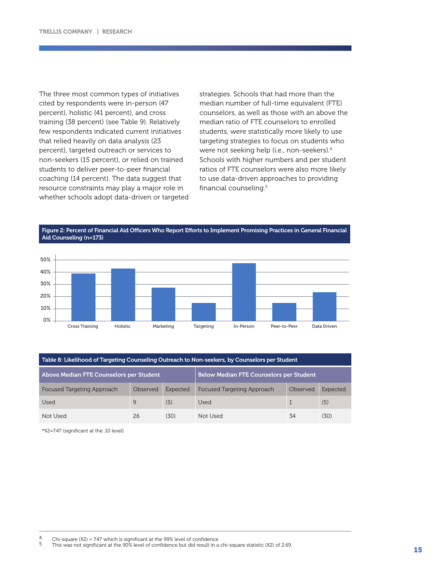The three most common types of initiatives cited by respondents were in-person (47 percent), holistic (41 percent), and cross training (38 percent) (see Table 9). Relatively few respondents indicated current initiatives that relied heavily on data analysis (23 percent), targeted outreach or services to non-seekers (15 percent), or relied on trained students to deliver peer-to-peer financial coaching (14 percent). The data suggest that resource constraints may play a major role in whether schools adopt data-driven or targeted strategies. Schools that had more than the median number of full-time equivalent (FTE) counselors, as well as those with an above the median ratio of FTE counselors to enrolled students, were statistically more likely to use targeting strategies to focus on students who were not seeking help (i.e., non-seekers).4 Schools with higher numbers and per student ratios of FTE counselors were also more likely to use data-driven approaches to providing financial counseling.5

Figure 2: Percent of Financial Aid Officers Who Report Efforts to Implement Promising Practices in General Financial Aid Counseling (n=173)



| Table 8: Likelihood of Targeting Counseling Outreach to Non-seekers, by Counselors per Student |          |          |                                   |          |          |  |
|------------------------------------------------------------------------------------------------|----------|----------|-----------------------------------|----------|----------|--|
| <b>Below Median FTE Counselors per Student</b><br>Above Median FTE Counselors per Student      |          |          |                                   |          |          |  |
| Focused Targeting Approach                                                                     | Observed | Expected | <b>Focused Targeting Approach</b> | Observed | Expected |  |
| Used                                                                                           | 9        | (5)      | Used                              |          | (5)      |  |
| Not Used                                                                                       | 26       | (30)     | Not Used                          | 34       | (30)     |  |

\*X2=7.47 (significant at the .10 level)

<sup>4</sup> Chi-square (X2) = 7.47 which is significant at the 99% level of confidence.<br>5 This was not significant at the 90% level of confidence but did result in a chi-square statistic (X2) of 2.69.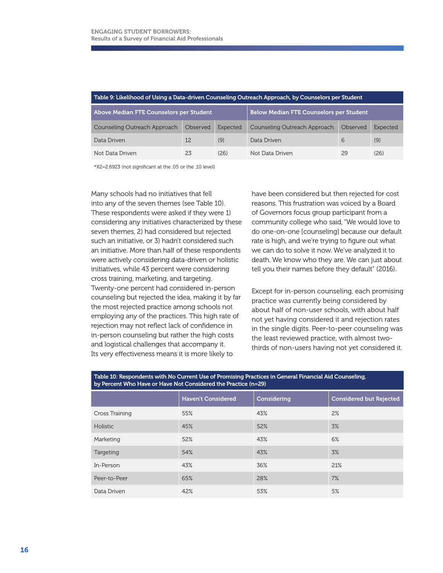| Table 9: Likelihood of Using a Data-driven Counseling Outreach Approach, by Counselors per Student |                                                |          |                              |          |          |  |
|----------------------------------------------------------------------------------------------------|------------------------------------------------|----------|------------------------------|----------|----------|--|
| Above Median FTE Counselors per Student                                                            | <b>Below Median FTE Counselors per Student</b> |          |                              |          |          |  |
| Counseling Outreach Approach                                                                       | Observed                                       | Expected | Counseling Outreach Approach | Observed | Expected |  |
| Data Driven                                                                                        | 12                                             | (9)      | Data Driven                  | 6        | (9)      |  |
| Not Data Driven                                                                                    | 23                                             | (26)     | Not Data Driven              | 29       | (26)     |  |

\*X2=2.6923 (not significant at the .05 or the .10 level)

Many schools had no initiatives that fell into any of the seven themes (see Table 10). These respondents were asked if they were 1) considering any initiatives characterized by these seven themes, 2) had considered but rejected such an initiative, or 3) hadn't considered such an initiative. More than half of these respondents were actively considering data-driven or holistic initiatives, while 43 percent were considering cross training, marketing, and targeting. Twenty-one percent had considered in-person counseling but rejected the idea, making it by far the most rejected practice among schools not employing any of the practices. This high rate of rejection may not reflect lack of confidence in in-person counseling but rather the high costs and logistical challenges that accompany it. Its very effectiveness means it is more likely to

have been considered but then rejected for cost reasons. This frustration was voiced by a Board of Governors focus group participant from a community college who said, "We would love to do one-on-one [counseling] because our default rate is high, and we're trying to figure out what we can do to solve it now. We've analyzed it to death. We know who they are. We can just about tell you their names before they default" (2016).

Except for in-person counseling, each promising practice was currently being considered by about half of non-user schools, with about half not yet having considered it and rejection rates in the single digits. Peer-to-peer counseling was the least reviewed practice, with almost twothirds of non-users having not yet considered it.

| Table Let hespondence with ho Garrent Ose of Fromlang Fractices in General Hitancial Ala Goahsellity,<br>by Percent Who Have or Have Not Considered the Practice (n=29) |                           |             |                                |  |  |  |
|-------------------------------------------------------------------------------------------------------------------------------------------------------------------------|---------------------------|-------------|--------------------------------|--|--|--|
|                                                                                                                                                                         | <b>Haven't Considered</b> | Considering | <b>Considered but Rejected</b> |  |  |  |
| Cross Training                                                                                                                                                          | 55%                       | 43%         | 2%                             |  |  |  |
| Holistic                                                                                                                                                                | 45%                       | 52%         | 3%                             |  |  |  |
| Marketing                                                                                                                                                               | 52%                       | 43%         | 6%                             |  |  |  |
| Targeting                                                                                                                                                               | 54%                       | 43%         | 3%                             |  |  |  |
| In-Person                                                                                                                                                               | 43%                       | 36%         | 21%                            |  |  |  |
| Peer-to-Peer                                                                                                                                                            | 65%                       | 28%         | 7%                             |  |  |  |
| Data Driven                                                                                                                                                             | 42%                       | 53%         | 5%                             |  |  |  |

Table 10: Respondents with No Current Use of Promising Practices in General Financial Aid Counseling,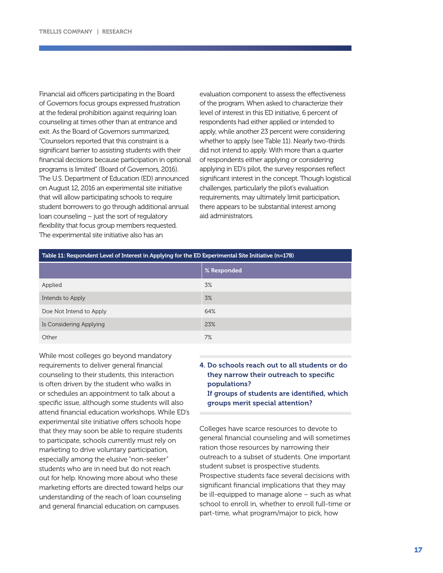Financial aid officers participating in the Board of Governors focus groups expressed frustration at the federal prohibition against requiring loan counseling at times other than at entrance and exit. As the Board of Governors summarized, "Counselors reported that this constraint is a significant barrier to assisting students with their financial decisions because participation in optional programs is limited" (Board of Governors, 2016). The U.S. Department of Education (ED) announced on August 12, 2016 an experimental site initiative that will allow participating schools to require student borrowers to go through additional annual loan counseling – just the sort of regulatory flexibility that focus group members requested. The experimental site initiative also has an

evaluation component to assess the effectiveness of the program. When asked to characterize their level of interest in this ED initiative, 6 percent of respondents had either applied or intended to apply, while another 23 percent were considering whether to apply (see Table 11). Nearly two-thirds did not intend to apply. With more than a quarter of respondents either applying or considering applying in ED's pilot, the survey responses reflect significant interest in the concept. Though logistical challenges, particularly the pilot's evaluation requirements, may ultimately limit participation, there appears to be substantial interest among aid administrators.

|                         | % Responded |
|-------------------------|-------------|
| Applied                 | 3%          |
| Intends to Apply        | 3%          |
| Doe Not Intend to Apply | 64%         |
| Is Considering Applying | 23%         |
| Other                   | 7%          |

While most colleges go beyond mandatory requirements to deliver general financial counseling to their students, this interaction is often driven by the student who walks in or schedules an appointment to talk about a specific issue, although some students will also attend financial education workshops. While ED's experimental site initiative offers schools hope that they may soon be able to require students to participate, schools currently must rely on marketing to drive voluntary participation, especially among the elusive "non-seeker" students who are in need but do not reach out for help. Knowing more about who these marketing efforts are directed toward helps our understanding of the reach of loan counseling and general financial education on campuses.

## 4. Do schools reach out to all students or do they narrow their outreach to specific populations? If groups of students are identified, which groups merit special attention?

Colleges have scarce resources to devote to general financial counseling and will sometimes ration those resources by narrowing their outreach to a subset of students. One important student subset is prospective students. Prospective students face several decisions with significant financial implications that they may be ill-equipped to manage alone – such as what school to enroll in, whether to enroll full-time or part-time, what program/major to pick, how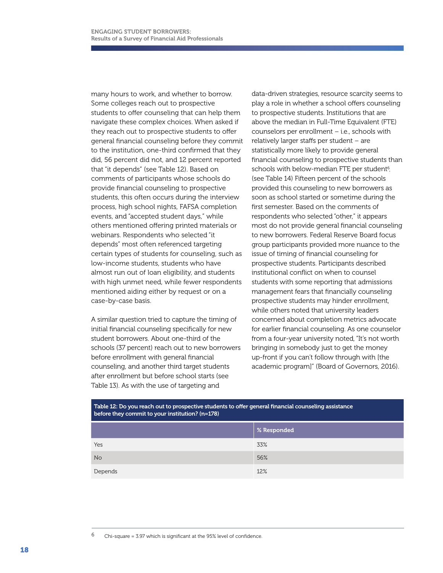many hours to work, and whether to borrow. Some colleges reach out to prospective students to offer counseling that can help them navigate these complex choices. When asked if they reach out to prospective students to offer general financial counseling before they commit to the institution, one-third confirmed that they did, 56 percent did not, and 12 percent reported that "it depends" (see Table 12). Based on comments of participants whose schools do provide financial counseling to prospective students, this often occurs during the interview process, high school nights, FAFSA completion events, and "accepted student days," while others mentioned offering printed materials or webinars. Respondents who selected "it depends" most often referenced targeting certain types of students for counseling, such as low-income students, students who have almost run out of loan eligibility, and students with high unmet need, while fewer respondents mentioned aiding either by request or on a case-by-case basis.

A similar question tried to capture the timing of initial financial counseling specifically for new student borrowers. About one-third of the schools (37 percent) reach out to new borrowers before enrollment with general financial counseling, and another third target students after enrollment but before school starts (see Table 13). As with the use of targeting and

data-driven strategies, resource scarcity seems to play a role in whether a school offers counseling to prospective students. Institutions that are above the median in Full-Time Equivalent (FTE) counselors per enrollment – i.e., schools with relatively larger staffs per student – are statistically more likely to provide general financial counseling to prospective students than schools with below-median FTE per student<sup>6</sup>. (see Table 14) Fifteen percent of the schools provided this counseling to new borrowers as soon as school started or sometime during the first semester. Based on the comments of respondents who selected "other," it appears most do not provide general financial counseling to new borrowers. Federal Reserve Board focus group participants provided more nuance to the issue of timing of financial counseling for prospective students. Participants described institutional conflict on when to counsel students with some reporting that admissions management fears that financially counseling prospective students may hinder enrollment, while others noted that university leaders concerned about completion metrics advocate for earlier financial counseling. As one counselor from a four-year university noted, "It's not worth bringing in somebody just to get the money up-front if you can't follow through with [the academic program]" (Board of Governors, 2016).

| Table 12: Do you reach out to prospective students to offer general financial counseling assistance<br>before they commit to your institution? $(n=178)$ |             |  |
|----------------------------------------------------------------------------------------------------------------------------------------------------------|-------------|--|
|                                                                                                                                                          | % Responded |  |
| <b>Yes</b>                                                                                                                                               | 33%         |  |
| <b>No</b>                                                                                                                                                | 56%         |  |
| Depends                                                                                                                                                  | 12%         |  |

<sup>6</sup> Chi-square = 3.97 which is significant at the 95% level of confidence.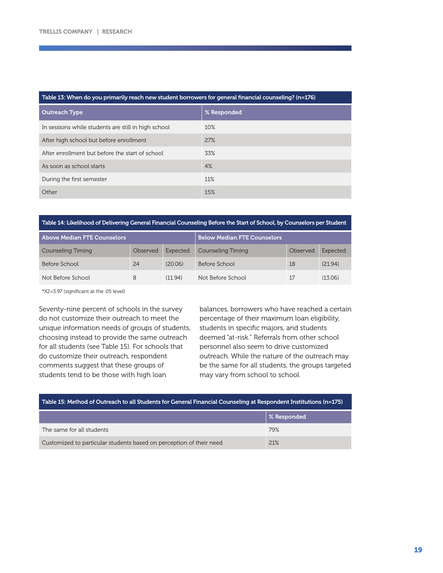#### Table 13: When do you primarily reach new student borrowers for general financial counseling? (n=176)

| <b>Outreach Type</b>                                | % Responded |
|-----------------------------------------------------|-------------|
| In sessions while students are still in high school | 10%         |
| After high school but before enrollment             | 27%         |
| After enrollment but before the start of school     | 33%         |
| As soon as school starts                            | 4%          |
| During the first semester                           | 11%         |
| Other                                               | 15%         |

### Table 14: Likelihood of Delivering General Financial Counseling Before the Start of School, by Counselors per Student

| Above Median FTE Counselors |          | <b>Below Median FTE Counselors</b> |                   |          |          |
|-----------------------------|----------|------------------------------------|-------------------|----------|----------|
| Counseling Timing           | Observed | Expected                           | Counseling Timing | Observed | Expected |
| Before School               | 24       | (20.06)                            | Before School     | 18       | (21.94)  |
| Not Before School           | 8        | (11.94)                            | Not Before School | 17       | (13.06)  |

\*X2=3.97 (significant at the .05 level)

Seventy-nine percent of schools in the survey do not customize their outreach to meet the unique information needs of groups of students, choosing instead to provide the same outreach for all students (see Table 15). For schools that do customize their outreach, respondent comments suggest that these groups of students tend to be those with high loan

balances, borrowers who have reached a certain percentage of their maximum loan eligibility, students in specific majors, and students deemed "at-risk." Referrals from other school personnel also seem to drive customized outreach. While the nature of the outreach may be the same for all students, the groups targeted may vary from school to school.

| Table 15: Method of Outreach to all Students for General Financial Counseling at Respondent Institutions (n=175) |                    |  |
|------------------------------------------------------------------------------------------------------------------|--------------------|--|
|                                                                                                                  | $\mid$ % Responded |  |
| The same for all students                                                                                        | 79%                |  |
| Customized to particular students based on perception of their need                                              | 21%                |  |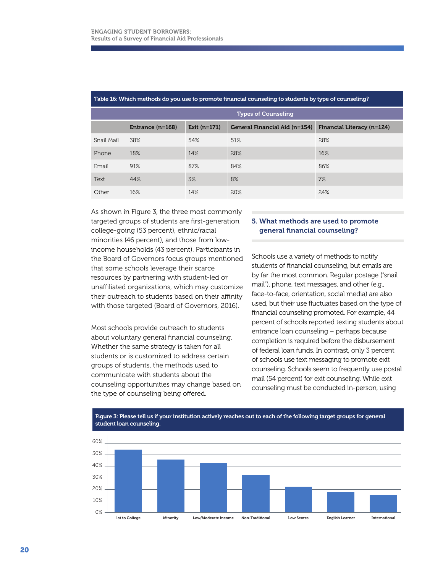|            |                    |                | <b>Types of Counseling</b>    |                            |
|------------|--------------------|----------------|-------------------------------|----------------------------|
|            | Entrance $(n=168)$ | Exit $(n=171)$ | General Financial Aid (n=154) | Financial Literacy (n=124) |
| Snail Mail | 38%                | 54%            | 51%                           | 28%                        |
| Phone      | 18%                | 14%            | 28%                           | 16%                        |
| Email      | 91%                | 87%            | 84%                           | 86%                        |
| Text       | 44%                | 3%             | 8%                            | 7%                         |
| Other      | 16%                | 14%            | 20%                           | 24%                        |

### Table 16: Which methods do you use to promote financial counseling to students by type of counseling?

As shown in Figure 3, the three most commonly targeted groups of students are first-generation college-going (53 percent), ethnic/racial minorities (46 percent), and those from lowincome households (43 percent). Participants in the Board of Governors focus groups mentioned that some schools leverage their scarce resources by partnering with student-led or unaffiliated organizations, which may customize their outreach to students based on their affinity with those targeted (Board of Governors, 2016).

Most schools provide outreach to students about voluntary general financial counseling. Whether the same strategy is taken for all students or is customized to address certain groups of students, the methods used to communicate with students about the counseling opportunities may change based on the type of counseling being offered.

## 5. What methods are used to promote general financial counseling?

Schools use a variety of methods to notify students of financial counseling, but emails are by far the most common. Regular postage ("snail mail"), phone, text messages, and other (e.g., face-to-face, orientation, social media) are also used, but their use fluctuates based on the type of financial counseling promoted. For example, 44 percent of schools reported texting students about entrance loan counseling – perhaps because completion is required before the disbursement of federal loan funds. In contrast, only 3 percent of schools use text messaging to promote exit counseling. Schools seem to frequently use postal mail (54 percent) for exit counseling. While exit counseling must be conducted in-person, using



#### Figure 3: Please tell us if your institution actively reaches out to each of the following target groups for general student loan counseling.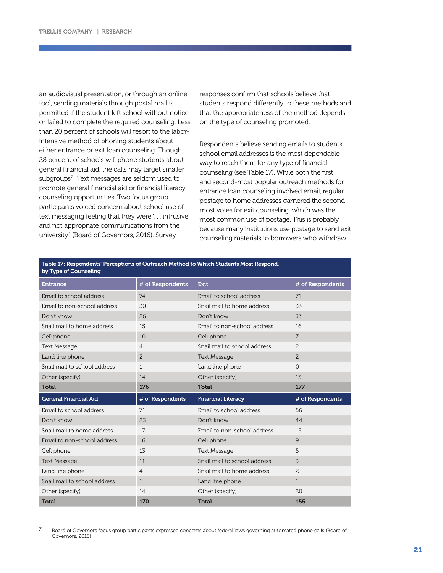an audiovisual presentation, or through an online tool, sending materials through postal mail is permitted if the student left school without notice or failed to complete the required counseling. Less than 20 percent of schools will resort to the laborintensive method of phoning students about either entrance or exit loan counseling. Though 28 percent of schools will phone students about general financial aid, the calls may target smaller subgroups7 . Text messages are seldom used to promote general financial aid or financial literacy counseling opportunities. Two focus group participants voiced concern about school use of text messaging feeling that they were"... intrusive and not appropriate communications from the university" (Board of Governors, 2016). Survey

responses confirm that schools believe that students respond differently to these methods and that the appropriateness of the method depends on the type of counseling promoted.

Respondents believe sending emails to students' school email addresses is the most dependable way to reach them for any type of financial counseling (see Table 17). While both the first and second-most popular outreach methods for entrance loan counseling involved email, regular postage to home addresses garnered the secondmost votes for exit counseling, which was the most common use of postage. This is probably because many institutions use postage to send exit counseling materials to borrowers who withdraw

| Table 17: Respondents' Perceptions of Outreach Method to Which Students Most Respond,<br>by Type of Counseling |                  |                              |                  |  |
|----------------------------------------------------------------------------------------------------------------|------------------|------------------------------|------------------|--|
| <b>Entrance</b>                                                                                                | # of Respondents | <b>Exit</b>                  | # of Respondents |  |
| Email to school address                                                                                        | 74               | Email to school address      | 71               |  |
| Email to non-school address                                                                                    | 30               | Snail mail to home address   | 33               |  |
| Don't know                                                                                                     | 26               | Don't know                   | 33               |  |
| Snail mail to home address                                                                                     | 15               | Email to non-school address  | 16               |  |
| Cell phone                                                                                                     | 10               | Cell phone                   | 7                |  |
| <b>Text Message</b>                                                                                            | $\overline{4}$   | Snail mail to school address | $\overline{c}$   |  |
| Land line phone                                                                                                | $\overline{c}$   | <b>Text Message</b>          | 2                |  |
| Snail mail to school address                                                                                   | $\mathbf{1}$     | Land line phone              | 0                |  |
| Other (specify)                                                                                                | 14               | Other (specify)              | 13               |  |
| <b>Total</b>                                                                                                   | 176              | <b>Total</b>                 | 177              |  |
| <b>General Financial Aid</b>                                                                                   | # of Respondents | <b>Financial Literacy</b>    | # of Respondents |  |
|                                                                                                                |                  |                              |                  |  |
| Email to school address                                                                                        | 71               | Email to school address      | 56               |  |
| Don't know                                                                                                     | 23               | Don't know                   | 44               |  |
| Snail mail to home address                                                                                     | 17               | Email to non-school address  | 15               |  |
| Email to non-school address                                                                                    | 16               | Cell phone                   | 9                |  |
| Cell phone                                                                                                     | 13               | <b>Text Message</b>          | 5                |  |
| <b>Text Message</b>                                                                                            | 11               | Snail mail to school address | 3                |  |
| Land line phone                                                                                                | $\overline{4}$   | Snail mail to home address   | 2                |  |
| Snail mail to school address                                                                                   | 1                | Land line phone              | $\mathbf{1}$     |  |
| Other (specify)                                                                                                | 14               | Other (specify)              | 20               |  |

<sup>7</sup> Board of Governors focus group participants expressed concerns about federal laws governing automated phone calls (Board of Governors, 2016)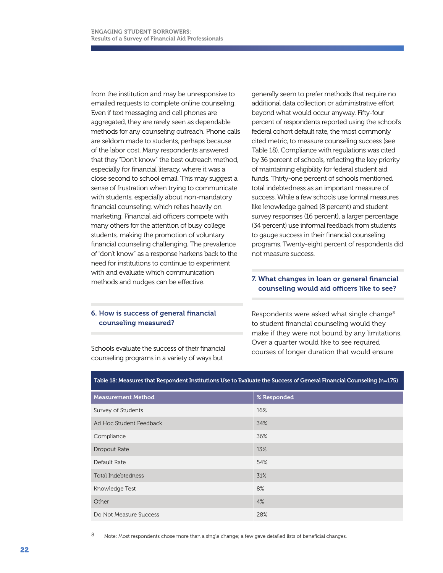from the institution and may be unresponsive to emailed requests to complete online counseling. Even if text messaging and cell phones are aggregated, they are rarely seen as dependable methods for any counseling outreach. Phone calls are seldom made to students, perhaps because of the labor cost. Many respondents answered that they "Don't know" the best outreach method, especially for financial literacy, where it was a close second to school email. This may suggest a sense of frustration when trying to communicate with students, especially about non-mandatory financial counseling, which relies heavily on marketing. Financial aid officers compete with many others for the attention of busy college students, making the promotion of voluntary financial counseling challenging. The prevalence of "don't know" as a response harkens back to the need for institutions to continue to experiment with and evaluate which communication methods and nudges can be effective.

## 6. How is success of general financial counseling measured?

Schools evaluate the success of their financial counseling programs in a variety of ways but

generally seem to prefer methods that require no additional data collection or administrative effort beyond what would occur anyway. Fifty-four percent of respondents reported using the school's federal cohort default rate, the most commonly cited metric, to measure counseling success (see Table 18). Compliance with regulations was cited by 36 percent of schools, reflecting the key priority of maintaining eligibility for federal student aid funds. Thirty-one percent of schools mentioned total indebtedness as an important measure of success. While a few schools use formal measures like knowledge gained (8 percent) and student survey responses (16 percent), a larger percentage (34 percent) use informal feedback from students to gauge success in their financial counseling programs. Twenty-eight percent of respondents did not measure success.

## 7. What changes in loan or general financial counseling would aid officers like to see?

Respondents were asked what single change<sup>8</sup> to student financial counseling would they make if they were not bound by any limitations. Over a quarter would like to see required courses of longer duration that would ensure

| <b>Measurement Method</b> | % Responded |
|---------------------------|-------------|
| Survey of Students        | 16%         |
| Ad Hoc Student Feedback   | 34%         |
| Compliance                | 36%         |
| Dropout Rate              | 13%         |
| Default Rate              | 54%         |
| <b>Total Indebtedness</b> | 31%         |
| Knowledge Test            | 8%          |
| Other                     | 4%          |
| Do Not Measure Success    | 28%         |
|                           |             |

#### Table 18: Measures that Respondent Institutions Use to Evaluate the Success of General Financial Counseling (n=175)

8 Note: Most respondents chose more than a single change; a few gave detailed lists of beneficial changes.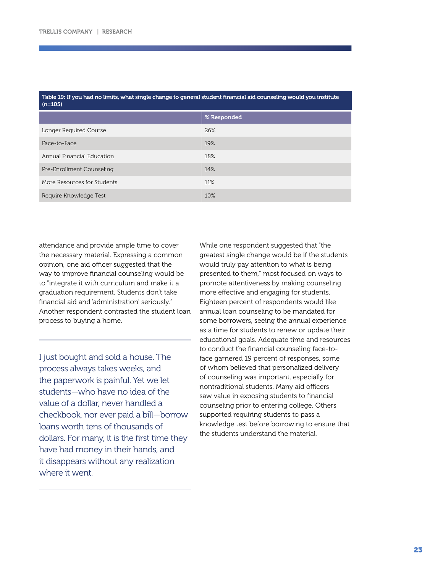| Table 19: If you had no limits, what single change to general student financial aid counseling would you institute |  |
|--------------------------------------------------------------------------------------------------------------------|--|
| (n=105)                                                                                                            |  |

| % Responded |
|-------------|
| 26%         |
| 19%         |
| 18%         |
| 14%         |
| 11%         |
| 10%         |
|             |

attendance and provide ample time to cover the necessary material. Expressing a common opinion, one aid officer suggested that the way to improve financial counseling would be to "integrate it with curriculum and make it a graduation requirement. Students don't take financial aid and 'administration' seriously." Another respondent contrasted the student loan process to buying a home.

I just bought and sold a house. The process always takes weeks, and the paperwork is painful. Yet we let students—who have no idea of the value of a dollar, never handled a checkbook, nor ever paid a bill—borrow loans worth tens of thousands of dollars. For many, it is the first time they have had money in their hands, and it disappears without any realization where it went.

While one respondent suggested that "the greatest single change would be if the students would truly pay attention to what is being presented to them," most focused on ways to promote attentiveness by making counseling more effective and engaging for students. Eighteen percent of respondents would like annual loan counseling to be mandated for some borrowers, seeing the annual experience as a time for students to renew or update their educational goals. Adequate time and resources to conduct the financial counseling face-toface garnered 19 percent of responses, some of whom believed that personalized delivery of counseling was important, especially for nontraditional students. Many aid officers saw value in exposing students to financial counseling prior to entering college. Others supported requiring students to pass a knowledge test before borrowing to ensure that the students understand the material.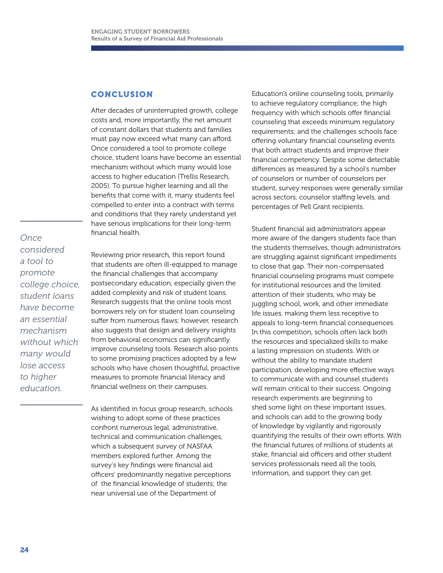## CONCLUSION

After decades of uninterrupted growth, college costs and, more importantly, the net amount of constant dollars that students and families must pay now exceed what many can afford. Once considered a tool to promote college choice, student loans have become an essential mechanism without which many would lose access to higher education (Trellis Research, 2005). To pursue higher learning and all the benefits that come with it, many students feel compelled to enter into a contract with terms and conditions that they rarely understand yet have serious implications for their long-term financial health.

*Once considered a tool to promote college choice, student loans have become an essential mechanism without which many would lose access to higher education.* 

Reviewing prior research, this report found that students are often ill-equipped to manage the financial challenges that accompany postsecondary education, especially given the added complexity and risk of student loans. Research suggests that the online tools most borrowers rely on for student loan counseling suffer from numerous flaws; however, research also suggests that design and delivery insights from behavioral economics can significantly improve counseling tools. Research also points to some promising practices adopted by a few schools who have chosen thoughtful, proactive measures to promote financial literacy and financial wellness on their campuses.

As identified in focus group research, schools wishing to adopt some of these practices confront numerous legal, administrative, technical and communication challenges, which a subsequent survey of NASFAA members explored further. Among the survey's key findings were financial aid officers' predominantly negative perceptions of the financial knowledge of students; the near universal use of the Department of

Education's online counseling tools, primarily to achieve regulatory compliance; the high frequency with which schools offer financial counseling that exceeds minimum regulatory requirements; and the challenges schools face offering voluntary financial counseling events that both attract students and improve their financial competency. Despite some detectable differences as measured by a school's number of counselors or number of counselors per student, survey responses were generally similar across sectors, counselor staffing levels, and percentages of Pell Grant recipients.

Student financial aid administrators appear more aware of the dangers students face than the students themselves, though administrators are struggling against significant impediments to close that gap. Their non-compensated financial counseling programs must compete for institutional resources and the limited attention of their students, who may be juggling school, work, and other immediate life issues, making them less receptive to appeals to long-term financial consequences. In this competition, schools often lack both the resources and specialized skills to make a lasting impression on students. With or without the ability to mandate student participation, developing more effective ways to communicate with and counsel students will remain critical to their success. Ongoing research experiments are beginning to shed some light on these important issues, and schools can add to the growing body of knowledge by vigilantly and rigorously quantifying the results of their own efforts. With the financial futures of millions of students at stake, financial aid officers and other student services professionals need all the tools, information, and support they can get.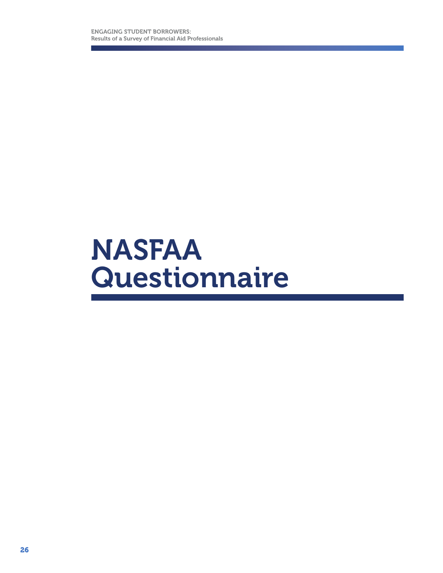## NASFAA Questionnaire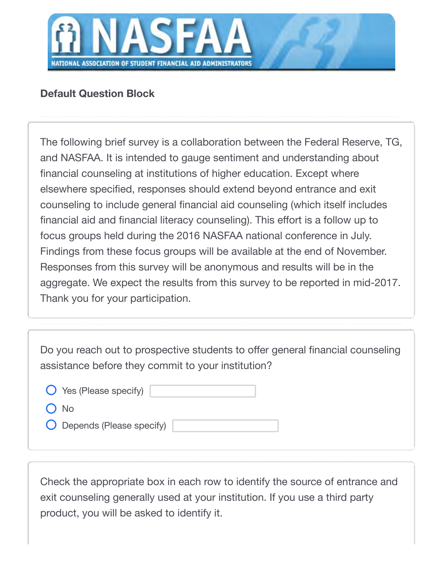

## **Default Question Block**

The following brief survey is a collaboration between the Federal Reserve, TG, and NASFAA. It is intended to gauge sentiment and understanding about financial counseling at institutions of higher education. Except where elsewhere specified, responses should extend beyond entrance and exit counseling to include general financial aid counseling (which itself includes financial aid and financial literacy counseling). This effort is a follow up to focus groups held during the 2016 NASFAA national conference in July. Findings from these focus groups will be available at the end of November. Responses from this survey will be anonymous and results will be in the aggregate. We expect the results from this survey to be reported in mid-2017. Thank you for your participation.

Do you reach out to prospective students to offer general financial counseling assistance before they commit to your institution?

| $\bigcirc$ Yes (Please specify) |  |
|---------------------------------|--|
| $O$ No                          |  |
| O Depends (Please specify)      |  |

Check the appropriate box in each row to identify the source of entrance and exit counseling generally used at your institution. If you use a third party product, you will be asked to identify it.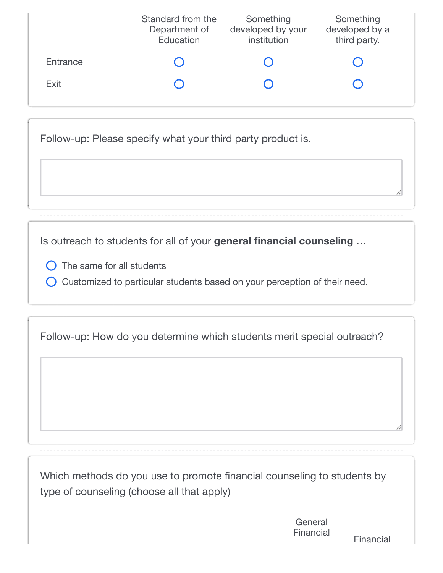|          | Standard from the<br>Department of<br>Education | Something<br>developed by your<br>institution | Something<br>developed by a<br>third party. |
|----------|-------------------------------------------------|-----------------------------------------------|---------------------------------------------|
| Entrance |                                                 |                                               |                                             |
| Exit     |                                                 |                                               |                                             |
|          |                                                 |                                               |                                             |

Follow-up: Please specify what your third party product is.

Is outreach to students for all of your **general financial counseling** …

- $\bigcirc$  The same for all students
- Customized to particular students based on your perception of their need.

Follow-up: How do you determine which students merit special outreach?

Which methods do you use to promote financial counseling to students by type of counseling (choose all that apply)

> **General** Financial

Financial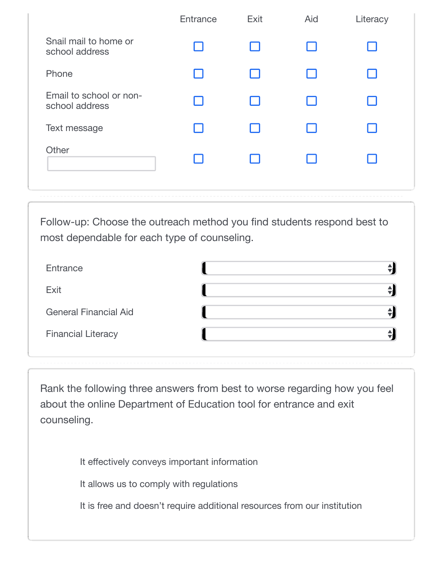|                                           | Entrance                 | Exit | Aid | Literacy |
|-------------------------------------------|--------------------------|------|-----|----------|
| Snail mail to home or<br>school address   | - 1                      |      |     |          |
| Phone                                     | - 1                      |      |     |          |
| Email to school or non-<br>school address | $\overline{\phantom{a}}$ |      |     |          |
| Text message                              | ×.                       |      |     |          |
| Other                                     |                          |      |     |          |
|                                           |                          |      |     |          |

Follow-up: Choose the outreach method you find students respond best to most dependable for each type of counseling.

| Entrance                     |  |
|------------------------------|--|
| Exit                         |  |
| <b>General Financial Aid</b> |  |
| <b>Financial Literacy</b>    |  |

Rank the following three answers from best to worse regarding how you feel about the online Department of Education tool for entrance and exit counseling.

It effectively conveys important information

It allows us to comply with regulations

It is free and doesn't require additional resources from our institution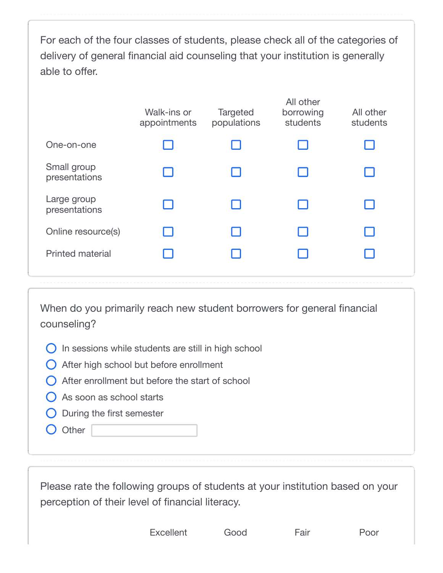For each of the four classes of students, please check all of the categories of delivery of general financial aid counseling that your institution is generally able to offer.

| Walk-ins or<br>appointments | <b>Targeted</b><br>populations | All other<br>borrowing<br>students | All other<br>students |  |
|-----------------------------|--------------------------------|------------------------------------|-----------------------|--|
| H                           |                                |                                    |                       |  |
|                             |                                |                                    |                       |  |
|                             |                                |                                    |                       |  |
| H                           |                                |                                    |                       |  |
|                             |                                |                                    |                       |  |
|                             |                                |                                    |                       |  |

When do you primarily reach new student borrowers for general financial counseling?

- $\bigcirc$  In sessions while students are still in high school
- After high school but before enrollment
- $\bigcap$  After enrollment but before the start of school
- As soon as school starts
- $\bigcirc$  During the first semester
- O Other

Please rate the following groups of students at your institution based on your perception of their level of financial literacy.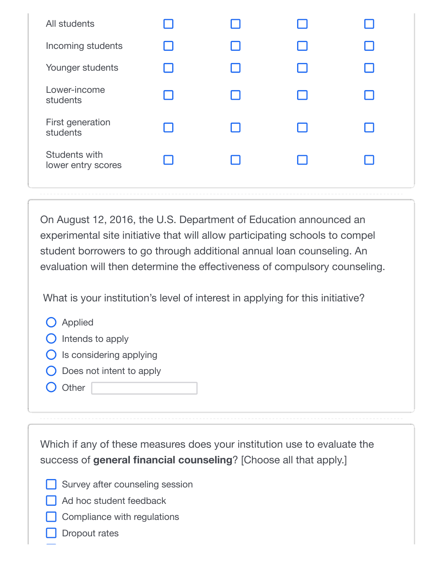| All students                        |    |  |  |
|-------------------------------------|----|--|--|
| Incoming students                   | I. |  |  |
| Younger students                    |    |  |  |
| Lower-income<br>students            |    |  |  |
| First generation<br>students        |    |  |  |
| Students with<br>lower entry scores |    |  |  |

On August 12, 2016, the U.S. Department of Education announced an experimental site initiative that will allow participating schools to compel student borrowers to go through additional annual loan counseling. An evaluation will then determine the effectiveness of compulsory counseling.

What is your institution's level of interest in applying for this initiative?

- **O** Applied
- $\bigcirc$  Intends to apply
- $\bigcirc$  Is considering applying
- $\bigcirc$  Does not intent to apply
- O Other

Which if any of these measures does your institution use to evaluate the success of **general financial counseling**? [Choose all that apply.]

- Survey after counseling session
- $\Box$  Ad hoc student feedback
	- Compliance with regulations
	- Dropout rates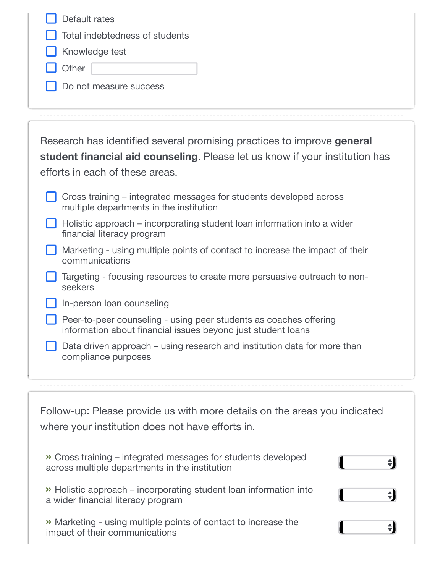| Default rates<br>Total indebtedness of students<br>Knowledge test<br>Other<br>Do not measure success                                                                                                                                                            |
|-----------------------------------------------------------------------------------------------------------------------------------------------------------------------------------------------------------------------------------------------------------------|
| Research has identified several promising practices to improve general<br>student financial aid counseling. Please let us know if your institution has<br>efforts in each of these areas.<br>Cross training – integrated messages for students developed across |
| multiple departments in the institution<br>Holistic approach – incorporating student loan information into a wider<br>financial literacy program                                                                                                                |
| Marketing - using multiple points of contact to increase the impact of their<br>communications                                                                                                                                                                  |
| Targeting - focusing resources to create more persuasive outreach to non-<br>seekers                                                                                                                                                                            |
| In-person loan counseling                                                                                                                                                                                                                                       |
| Peer-to-peer counseling - using peer students as coaches offering<br>information about financial issues beyond just student loans                                                                                                                               |
| Data driven approach – using research and institution data for more than<br>compliance purposes                                                                                                                                                                 |

| Follow-up: Please provide us with more details on the areas you indicated |  |  |  |  |
|---------------------------------------------------------------------------|--|--|--|--|
| where your institution does not have efforts in.                          |  |  |  |  |

| Cross training – integrated messages for students developed<br>across multiple departments in the institution |  |
|---------------------------------------------------------------------------------------------------------------|--|
| >> Holistic approach – incorporating student loan information into<br>a wider financial literacy program      |  |
| » Marketing - using multiple points of contact to increase the<br>impact of their communications              |  |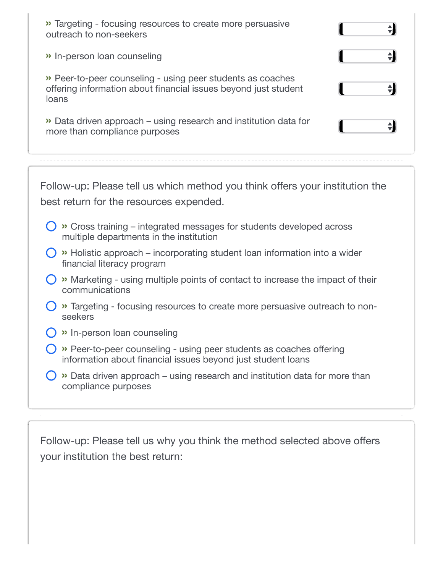| Targeting - focusing resources to create more persuasive<br>outreach to non-seekers                                                     |  |
|-----------------------------------------------------------------------------------------------------------------------------------------|--|
| » In-person loan counseling                                                                                                             |  |
| >> Peer-to-peer counseling - using peer students as coaches<br>offering information about financial issues beyond just student<br>loans |  |
| Data driven approach – using research and institution data for<br>more than compliance purposes                                         |  |

Follow-up: Please tell us which method you think offers your institution the best return for the resources expended.

- **»** Cross training integrated messages for students developed across multiple departments in the institution
- **»** Holistic approach incorporating student loan information into a wider financial literacy program
- **»** Marketing using multiple points of contact to increase the impact of their communications
- **»** Targeting focusing resources to create more persuasive outreach to nonseekers
- **»** In-person loan counseling
- **O** » Peer-to-peer counseling using peer students as coaches offering information about financial issues beyond just student loans
- **»** Data driven approach using research and institution data for more than compliance purposes

Follow-up: Please tell us why you think the method selected above offers your institution the best return: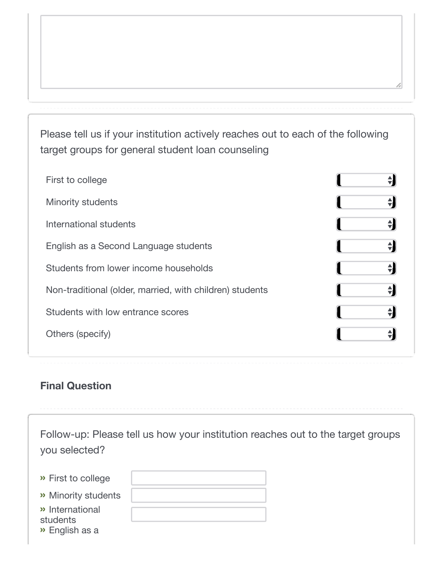Please tell us if your institution actively reaches out to each of the following target groups for general student loan counseling

| First to college                                         |   |
|----------------------------------------------------------|---|
| <b>Minority students</b>                                 | 싂 |
| International students                                   | ÷ |
| English as a Second Language students                    | 쉬 |
| Students from lower income households                    | 싂 |
| Non-traditional (older, married, with children) students | 쉬 |
| Students with low entrance scores                        | 싂 |
| Others (specify)                                         |   |
|                                                          |   |

## **Final Question**

| you selected?                                             | Follow-up: Please tell us how your institution reaches out to the target groups |  |
|-----------------------------------------------------------|---------------------------------------------------------------------------------|--|
| » First to college                                        |                                                                                 |  |
| >> Minority students                                      |                                                                                 |  |
| » International<br>students<br>$\rightarrow$ English as a |                                                                                 |  |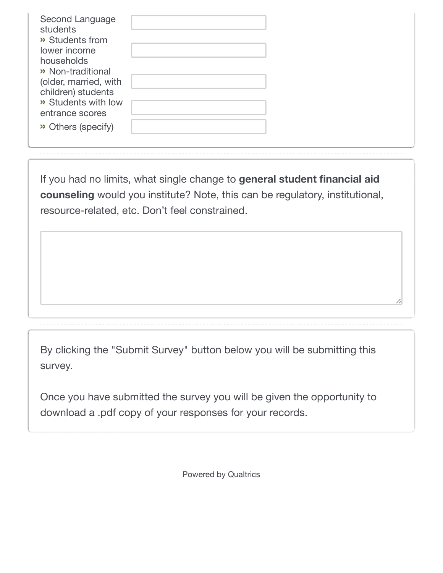| Second Language<br>students<br>>> Students from<br>lower income<br>households<br>>> Non-traditional<br>(older, married, with<br>children) students<br>>> Students with low<br>entrance scores<br>>> Others (specify) |
|----------------------------------------------------------------------------------------------------------------------------------------------------------------------------------------------------------------------|
|----------------------------------------------------------------------------------------------------------------------------------------------------------------------------------------------------------------------|

If you had no limits, what single change to **general student financial aid counseling** would you institute? Note, this can be regulatory, institutional, resource-related, etc. Don't feel constrained.

By clicking the "Submit Survey" button below you will be submitting this survey.

Once you have submitted the survey you will be given the opportunity to download a .pdf copy of your responses for your records.

[Powered by Qualtrics](http://www.qualtrics.com/)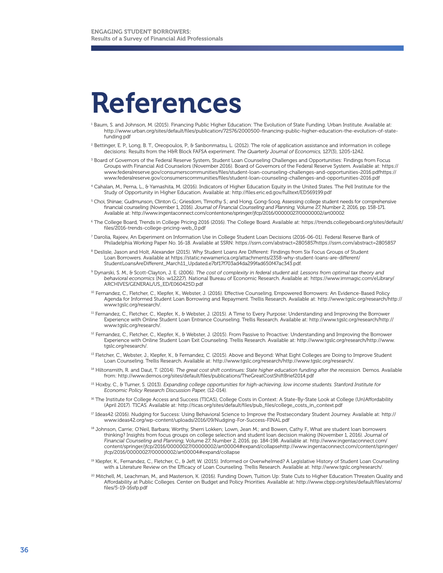## References

- 1 Baum, S. and Johnson, M. (2015). Financing Public Higher Education: The Evolution of State Funding. Urban Institute. Available at: http://www.urban.org/sites/default/files/publication/72576/2000500-financing-public-higher-education-the-evolution-of-statefunding.pdf
- 2 Bettinger, E. P., Long, B. T., Oreopoulos, P., & Sanbonmatsu, L. (2012). The role of application assistance and information in college decisions: Results from the H&R Block FAFSA experiment. *The Quarterly Journal of Economics,* 127(3), 1205-1242.
- 3 Board of Governors of the Federal Reserve System, Student Loan Counseling Challenges and Opportunities: Findings from Focus Groups with Financial Aid Counselors (November 2016). Board of Governors of the Federal Reserve System. Available at: https:// www.federalreserve.gov/consumerscommunities/files/student-loan-counseling-challenges-and-opportunities-2016.pdfhttps:// www.federalreserve.gov/consumerscommunities/files/student-loan-counseling-challenges-and-opportunities-2016.pdf
- 4 Cahalan, M., Perna, L., & Yamashita, M. (2016). Indicators of Higher Education Equity in the United States. The Pell Institute for the Study of Opportunity in Higher Education. Available at: http://files.eric.ed.gov/fulltext/ED569199.pdf
- $^{\rm S}$  Choi, Shinae; Gudmunson, Clinton G.; Griesdom, Timothy S.; and Hong, Gong-Soog, Assessing college student needs for comprehensive financial counseling (November 1, 2016). *Journal of Financial Counseling and Planning,* Volume 27, Number 2, 2016, pp. 158-171. Available at: http://www.ingentaconnect.com/contentone/springer/jfcp/2016/00000027/00000002/art00002
- 6 The College Board, Trends in College Pricing 2016 (2016). The College Board. Available at: https://trends.collegeboard.org/sites/default/ files/2016-trends-college-pricing-web\_0.pdf
- $^7$  Darolia, Rajeev, An Experiment on Information Use in College Student Loan Decisions (2016-06-01). Federal Reserve Bank of Philadelphia Working Paper No. 16-18. Available at SSRN: https://ssrn.com/abstract=2805857https://ssrn.com/abstract=2805857
- $^8$  Deslisle, Jason and Holt, Alexander (2015). Why Student Loans Are Different: Findings from Six Focus Groups of Student Loan Borrowers. Available at https://static.newamerica.org/attachments/2358-why-student-loans-are-different/ StudentLoansAreDifferent\_March11\_Updated.e7bf17f703ad4da299fad650f47ac343.pdf.
- 9 Dynarski, S. M., & Scott-Clayton, J. E. (2006). *The cost of complexity in federal student aid: Lessons from optimal tax theory and behavioral economics* (No. w12227). National Bureau of Economic Research. Available at: https://www.immagic.com/eLibrary/ ARCHIVES/GENERAL/US\_ED/E060425D.pdf
- 10 Fernandez, C., Fletcher, C., Klepfer, K., Webster, J. (2016). Effective Counseling, Empowered Borrowers: An Evidence-Based Policy Agenda for Informed Student Loan Borrowing and Repayment. Trellis Research. Available at: http://www.tgslc.org/research/http:// www.tgslc.org/research/.
- 11 Fernandez, C., Fletcher, C., Klepfer, K., & Webster, J. (2015). A Time to Every Purpose: Understanding and Improving the Borrower Experience with Online Student Loan Entrance Counseling. Trellis Research. Available at: http://www.tgslc.org/research/http:// www.tgslc.org/research/.
- <sup>12</sup> Fernandez, C., Fletcher, C., Klepfer, K., & Webster, J. (2015). From Passive to Proactive: Understanding and Improving the Borrower Experience with Online Student Loan Exit Counseling. Trellis Research. Available at: http://www.tgslc.org/research/http://www. tgslc.org/research/.
- 13 Fletcher, C., Webster, J., Klepfer, K., & Fernandez, C. (2015). Above and Beyond: What Eight Colleges are Doing to Improve Student Loan Counseling. Trellis Research. Available at: http://www.tgslc.org/research/http://www.tgslc.org/research/.
- 14 Hiltonsmith, R. and Daut, T. (2014). *The great cost shift continues: State higher education funding after the recession.* Demos. Available from: http://www.demos.org/sites/default/files/publications/TheGreatCostShiftBrief2014.pdf
- 15 Hoxby, C., & Turner, S. (2013). *Expanding college opportunities for high-achieving, low income students. Stanford Institute for Economic Policy Research Discussion Paper,* (12-014).
- 16 The Institute for College Access and Success (TICAS), College Costs in Context: A State-By-State Look at College (Un)Affordability (April 2017). TICAS. Available at: http://ticas.org/sites/default/files/pub\_files/college\_costs\_in\_context.pdf
- 17 Ideas42 (2016). Nudging for Success: Using Behavioral Science to Improve the Postsecondary Student Journey. Available at: http:// www.ideas42.org/wp-content/uploads/2016/09/Nudging-For-Success-FINAL.pdf
- 18 Johnson, Carrie; O'Neil, Barbara; Worthy, Sherri Lokken; Lown, Jean M.; and Bowen, Cathy F., What are student loan borrowers thinking? Insights from focus groups on college selection and student loan decision making (November 1, 2016). *Journal of Financial Counseling and Planning,* Volume 27, Number 2, 2016, pp. 184-198. Available at: http://www.ingentaconnect.com/ content/springer/jfcp/2016/00000027/00000002/art00004#expand/collapsehttp://www.ingentaconnect.com/content/springer/ jfcp/2016/00000027/00000002/art00004#expand/collapse
- 19 Klepfer, K., Fernandez, C., Fletcher, C., & Jeff, W. (2015). Informed or Overwhelmed? A Legislative History of Student Loan Counseling with a Literature Review on the Efficacy of Loan Counseling. Trellis Research. Available at: http://www.tgslc.org/research/.
- 20 Mitchell, M., Leachman, M., and Masterson, K. (2016). Funding Down, Tuition Up: State Cuts to Higher Education Threaten Quality and Affordability at Public Colleges. Center on Budget and Policy Priorities. Available at: http://www.cbpp.org/sites/default/files/atoms/ files/5-19-16sfp.pdf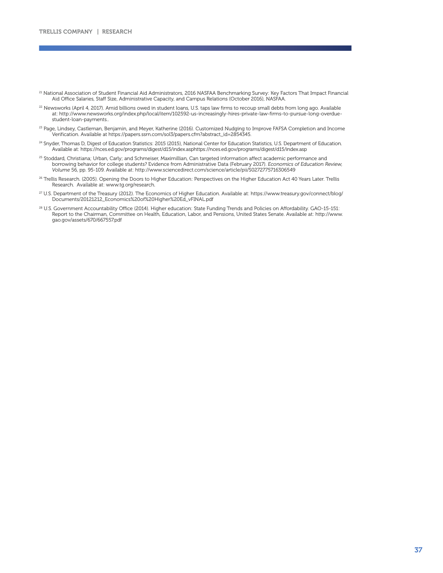- <sup>21</sup> National Association of Student Financial Aid Administrators, 2016 NASFAA Benchmarking Survey: Key Factors That Impact Financial Aid Office Salaries, Staff Size, Administrative Capacity, and Campus Relations (October 2016), NASFAA.
- <sup>22</sup> Newsworks (April 4, 2017). Amid billions owed in student loans, U.S. taps law firms to recoup small debts from long ago. Available at: http://www.newsworks.org/index.php/local/item/102592-us-increasingly-hires-private-law-firms-to-pursue-long-overduestudent-loan-payments..
- <sup>23</sup> Page, Lindsey, Castleman, Benjamin, and Meyer, Katherine (2016). Customized Nudging to Improve FAFSA Completion and Income Verification. Available at https://papers.ssrn.com/sol3/papers.cfm?abstract\_id=2854345.
- <sup>24</sup> Snyder, Thomas D, Digest of Education Statistics: 2015 (2015), National Center for Education Statistics, U.S. Department of Education. Available at: https://nces.ed.gov/programs/digest/d15/index.asphttps://nces.ed.gov/programs/digest/d15/index.asp
- 25 Stoddard, Christiana; Urban, Carly; and Schmeiser, Maximillian, Can targeted information affect academic performance and borrowing behavior for college students? Evidence from Administrative Data (February 2017). *Economics of Education Review, Volume* 56, pp. 95-109. Available at: http://www.sciencedirect.com/science/article/pii/S0272775716306549
- 26 Trellis Research. (2005). Opening the Doors to Higher Education: Perspectives on the Higher Education Act 40 Years Later. Trellis Research. Available at: www.tg.org/research.
- 27 U.S. Department of the Treasury (2012). The Economics of Higher Education. Available at: https://www.treasury.gov/connect/blog/ Documents/20121212\_Economics%20of%20Higher%20Ed\_vFINAL.pdf
- 28 U.S. Government Accountability Office (2014). Higher education: State Funding Trends and Policies on Affordability. GAO-15-151: Report to the Chairman, Committee on Health, Education, Labor, and Pensions, United States Senate. Available at: http://www. gao.gov/assets/670/667557.pdf